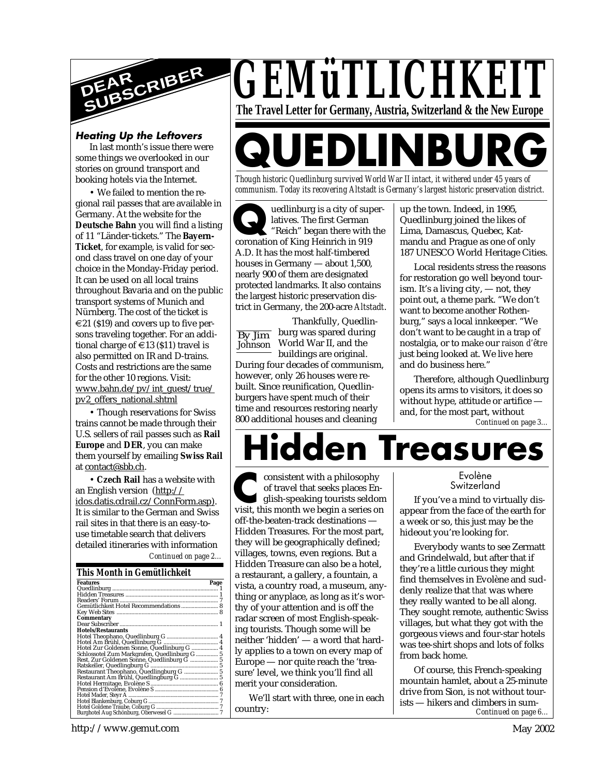

#### **Heating Up the Leftovers**

In last month's issue there were some things we overlooked in our stories on ground transport and booking hotels via the Internet.

• We failed to mention the regional rail passes that are available in Germany. At the website for the **Deutsche Bahn** you will find a listing of 11 "Länder-tickets." The **Bayern-Ticket**, for example, is valid for second class travel on one day of your choice in the Monday-Friday period. It can be used on all local trains throughout Bavaria and on the public transport systems of Munich and Nürnberg. The cost of the ticket is €21 (\$19) and covers up to five persons traveling together. For an additional charge of  $\in$  13 (\$11) travel is also permitted on IR and D-trains. Costs and restrictions are the same for the other 10 regions. Visit: www.bahn.de/pv/int\_guest/true/ pv2\_offers\_national.shtml

• Though reservations for Swiss trains cannot be made through their U.S. sellers of rail passes such as **Rail Europe** and **DER**, you can make them yourself by emailing **Swiss Rail** at contact@sbb.ch.

*Continued on page 2…* • **Czech Rail** has a website with an English version (http:// idos.datis.cdrail.cz/ConnForm.asp). It is similar to the German and Swiss rail sites in that there is an easy-touse timetable search that delivers detailed itineraries with information

|                             | Continued on page |
|-----------------------------|-------------------|
|                             |                   |
| This Month in Comptlishboit |                   |

| ттіз монин ін Gетингісткен.                  |      |
|----------------------------------------------|------|
| <b>Features</b>                              | Page |
|                                              |      |
|                                              |      |
|                                              |      |
| Gemütlichkeit Hotel Recommendations  8       |      |
|                                              |      |
| Commentary                                   |      |
|                                              |      |
| Hotels/Restaurants                           |      |
|                                              |      |
|                                              |      |
| Hotel Zur Goldenen Sonne, Quedlinburg G  4   |      |
| Schlossotel Zum Markgrafen, Quedlinburg G  5 |      |
| Rest. Zur Goldenen Sonne, Quedlinburg G  5   |      |
|                                              |      |
|                                              |      |
|                                              |      |
|                                              |      |
|                                              |      |
|                                              |      |
|                                              |      |
|                                              |      |
|                                              |      |

*GEMüTLICHKEIT* **The Travel Letter for Germany, Austria, Switzerland & the New Europe QUEDLINBURG**

*Though historic Quedlinburg survived World War II intact, it withered under 45 years of communism. Today its recovering Altstadt is Germany's largest historic preservation district.*

**Q**coronation of King Heinrich in 919 uedlinburg is a city of superlatives. The first German "Reich" began there with the A.D. It has the most half-timbered houses in Germany — about 1,500, nearly 900 of them are designated protected landmarks. It also contains the largest historic preservation district in Germany, the 200-acre *Altstadt*.

Thankfully, Quedlinburg was spared during World War II, and the buildings are original. By Jim Johnson

During four decades of communism, however, only 26 houses were rebuilt. Since reunification, Quedlinburgers have spent much of their time and resources restoring nearly 800 additional houses and cleaning

up the town. Indeed, in 1995, Quedlinburg joined the likes of Lima, Damascus, Quebec, Katmandu and Prague as one of only 187 UNESCO World Heritage Cities.

Local residents stress the reasons for restoration go well beyond tourism. It's a living city,  $-$  not, they point out, a theme park. "We don't want to become another Rothenburg," says a local innkeeper. "We don't want to be caught in a trap of nostalgia, or to make our *raison d'être* just being looked at. We live here and do business here."

Therefore, although Quedlinburg opens its arms to visitors, it does so without hype, attitude or artifice and, for the most part, without

*Continued on page 3…*

# **Hidden Treasures**

**CO**consistent with a philosophy<br>
of travel that seeks places English-speaking tourists seldom<br>
visit, this month we begin a series on consistent with a philosophy of travel that seeks places English-speaking tourists seldom off-the-beaten-track destinations — Hidden Treasures. For the most part, they will be geographically defined; villages, towns, even regions. But a Hidden Treasure can also be a hotel, a restaurant, a gallery, a fountain, a vista, a country road, a museum, anything or anyplace, as long as it's worthy of your attention and is off the radar screen of most English-speaking tourists. Though some will be neither 'hidden' — a word that hardly applies to a town on every map of Europe — nor quite reach the 'treasure' level, we think you'll find all merit your consideration.

We'll start with three, one in each country:

Evolène Switzerland

If you've a mind to virtually disappear from the face of the earth for a week or so, this just may be the hideout you're looking for.

Everybody wants to see Zermatt and Grindelwald, but after that if they're a little curious they might find themselves in Evolène and suddenly realize that *that* was where they really wanted to be all along. They sought remote, authentic Swiss villages, but what they got with the gorgeous views and four-star hotels was tee-shirt shops and lots of folks from back home.

*Continued on page 6…* Of course, this French-speaking mountain hamlet, about a 25-minute drive from Sion, is not without tourists — hikers and climbers in sum-

http://www.gemut.com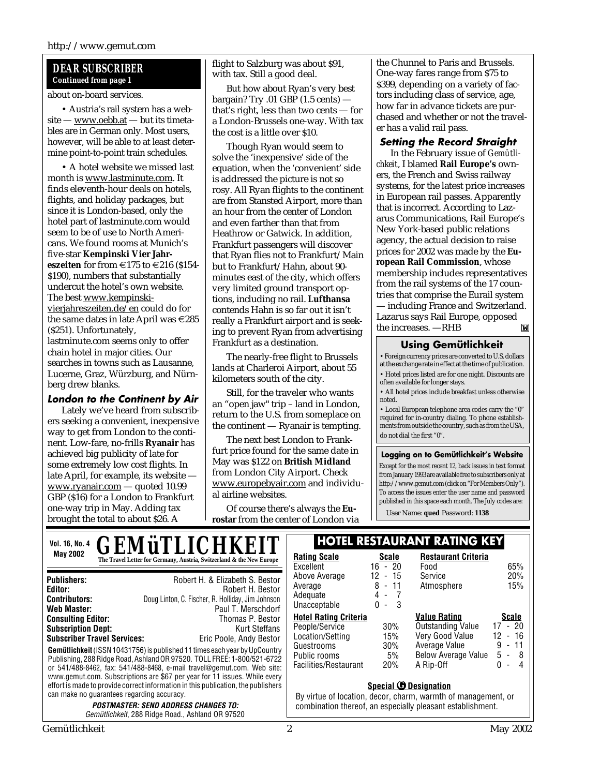#### *DEAR SUBSCRIBER Continued from page 1*

about on-board services.

• Austria's rail system has a web $site - [www.oebb.at}](https://www.oebb.at)$  — but its timetables are in German only. Most users, however, will be able to at least determine point-to-point train schedules.

• A hotel website we missed last month is www.lastminute.com. It finds eleventh-hour deals on hotels, flights, and holiday packages, but since it is London-based, only the hotel part of lastminute.com would seem to be of use to North Americans. We found rooms at Munich's five-star **Kempinski Vier Jahreszeiten** for from €175 to €216 (\$154-\$190), numbers that substantially undercut the hotel's own website. The best www.kempinskivierjahreszeiten.de/en could do for the same dates in late April was €285 (\$251). Unfortunately, lastminute.com seems only to offer chain hotel in major cities. Our searches in towns such as Lausanne, Lucerne, Graz, Würzburg, and Nürnberg drew blanks.

#### **London to the Continent by Air**

Lately we've heard from subscribers seeking a convenient, inexpensive way to get from London to the continent. Low-fare, no-frills **Ryanair** has achieved big publicity of late for some extremely low cost flights. In late April, for example, its website www.ryanair.com — quoted 10.99 GBP (\$16) for a London to Frankfurt one-way trip in May. Adding tax brought the total to about \$26. A

flight to Salzburg was about \$91, with tax. Still a good deal.

But how about Ryan's very best bargain? Try .01 GBP (1.5 cents) that's right, less than two cents — for a London-Brussels one-way. With tax the cost is a little over \$10.

Though Ryan would seem to solve the 'inexpensive' side of the equation, when the 'convenient' side is addressed the picture is not so rosy. All Ryan flights to the continent are from Stansted Airport, more than an hour from the center of London and even farther than that from Heathrow or Gatwick. In addition, Frankfurt passengers will discover that Ryan flies not to Frankfurt/Main but to Frankfurt/Hahn, about 90 minutes east of the city, which offers very limited ground transport options, including no rail. **Lufthansa** contends Hahn is so far out it isn't really a Frankfurt airport and is seeking to prevent Ryan from advertising Frankfurt as a destination.

The nearly-free flight to Brussels lands at Charleroi Airport, about 55 kilometers south of the city.

Still, for the traveler who wants an "open jaw" trip – land in London, return to the U.S. from someplace on the continent — Ryanair is tempting.

The next best London to Frankfurt price found for the same date in May was \$122 on **British Midland** from London City Airport. Check www.europebyair.com and individual airline websites.

Of course there's always the **Eurostar** from the center of London via the Chunnel to Paris and Brussels. One-way fares range from \$75 to \$399, depending on a variety of factors including class of service, age, how far in advance tickets are purchased and whether or not the traveler has a valid rail pass.

#### **Setting the Record Straight**

In the February issue of *Gemütlichkeit*, I blamed **Rail Europe's** owners, the French and Swiss railway systems, for the latest price increases in European rail passes. Apparently that is incorrect. According to Lazarus Communications, Rail Europe's New York-based public relations agency, the actual decision to raise prices for 2002 was made by the **European Rail Commission**, whose membership includes representatives from the rail systems of the 17 countries that comprise the Eurail system — including France and Switzerland. Lazarus says Rail Europe, opposed the increases. —RHB $\blacksquare$ 

# **Using Gemütlichkeit**

• Foreign currency prices are converted to U.S. dollars at the exchange rate in effect at the time of publication. • Hotel prices listed are for one night. Discounts are often available for longer stays.

• All hotel prices include breakfast unless otherwise noted.

• Local European telephone area codes carry the "0" required for in-country dialing. To phone establishments from outside the country, such as from the USA, do not dial the first "0".

**Logging on to Gemütlichkeit's Website** Except for the most recent 12, back issues in text format from January 1993 are available free to subscribers only at http://www.gemut.com (click on "For Members Only"). To access the issues enter the user name and password published in this space each month. The July codes are:

> Food 65%<br>Service 20% Service 20%<br>Atmosphere 15%

**Value Rating Scale** Outstanding Value 17 - 20 Very Good Value 12 - 16

User Name: **qued** Password: **1138**

Atmosphere

Average Value

# Vol. 16, No. 4 **GEMÜTLICHKEIT** | HOTEL RESTAURANT RATING KEY<br>Aliay 2002 The Trevel Letter for German, Anglis Springhord & the New Eyerna **May 2002 Rating Scale**<br>
The Travel Letter for Germany, Austria, Switzerland & the New Europe | **Rating Scale** Scale

|                                                                                                                                |                                                                                                                                                                                                                                                                                                                     | Excellent                                                                                              | $16 - 20$                                       |
|--------------------------------------------------------------------------------------------------------------------------------|---------------------------------------------------------------------------------------------------------------------------------------------------------------------------------------------------------------------------------------------------------------------------------------------------------------------|--------------------------------------------------------------------------------------------------------|-------------------------------------------------|
| <b>Publishers:</b><br>Editor:<br><b>Contributors:</b><br>Web Master:<br><b>Consulting Editor:</b><br><b>Subscription Dept:</b> | Robert H. & Elizabeth S. Bestor<br>Robert H. Bestor<br>Doug Linton, C. Fischer, R. Holliday, Jim Johnson<br>Paul T. Merschdorf<br>Thomas P. Bestor<br>Kurt Steffans                                                                                                                                                 | Above Average<br>Average<br>Adequate<br>Unacceptable<br><b>Hotel Rating Criteria</b><br>People/Service | 12 - 15<br>- 11<br>8<br>4 - 7<br>$0 - 3$<br>30% |
| <b>Subscriber Travel Services:</b>                                                                                             | Eric Poole, Andy Bestor                                                                                                                                                                                                                                                                                             | Location/Setting                                                                                       | 15%                                             |
|                                                                                                                                | <b>Gemütlichkeit</b> (ISSN 10431756) is published 11 times each year by UpCountry<br>Publishing, 288 Ridge Road, Ashland OR 97520. TOLL FREE: 1-800/521-6722<br>or 541/488-8462, fax: 541/488-8468, e-mail travel@gemut.com, Web site:<br>www.gemut.com. Subscriptions are \$67 per year for 11 issues. While every | Guestrooms<br>Public rooms<br>Facilities/Restaurant                                                    | 30%<br>5%<br>20%                                |
| can make no quarantees regarding accuracy.                                                                                     | effort is made to provide correct information in this publication, the publishers                                                                                                                                                                                                                                   | By virtue of location, decor, chara-                                                                   | Special C                                       |
|                                                                                                                                | <i><b>POSTMASTER: SEND ADDRESS CHANGES TO:</b></i>                                                                                                                                                                                                                                                                  | combination thereof an especi                                                                          |                                                 |

# **Restaurant Criteria**

| Public rooms<br>Facilities/Restaurant | Below Average Value<br>$5\%$<br>A Rip-Off<br>20% |                                                                                                                             | $5 -$<br>ი - |  | -8<br>4 |
|---------------------------------------|--------------------------------------------------|-----------------------------------------------------------------------------------------------------------------------------|--------------|--|---------|
| <b>Special © Designation</b>          |                                                  |                                                                                                                             |              |  |         |
|                                       |                                                  | By virtue of location, decor, charm, warmth of management, or<br>combination thereof, an especially pleasant establishment. |              |  |         |

Gemütlichkeit, 288 Ridge Road., Ashland OR 97520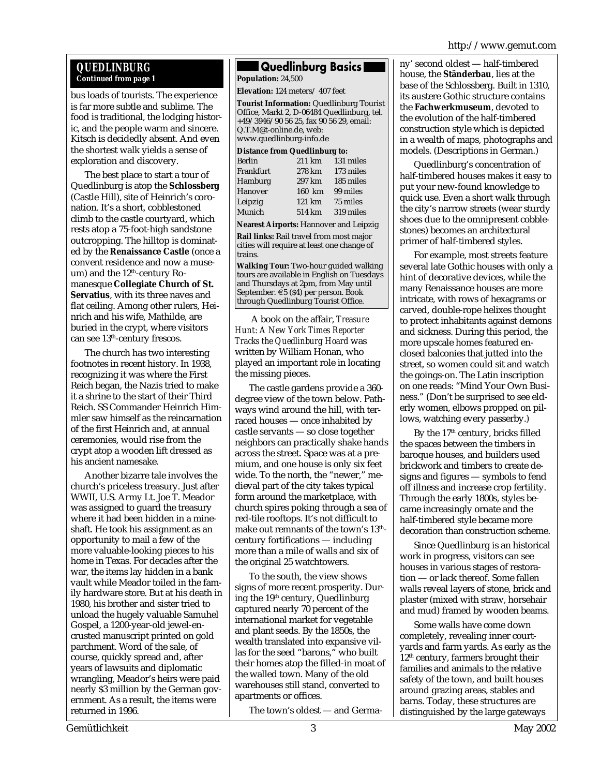#### http://www.gemut.com

#### *QUEDLINBURG Continued from page 1*

bus loads of tourists. The experience is far more subtle and sublime. The food is traditional, the lodging historic, and the people warm and sincere. Kitsch is decidedly absent. And even the shortest walk yields a sense of exploration and discovery.

The best place to start a tour of Quedlinburg is atop the **Schlossberg** (Castle Hill), site of Heinrich's coronation. It's a short, cobblestoned climb to the castle courtyard, which rests atop a 75-foot-high sandstone outcropping. The hilltop is dominated by the **Renaissance Castle** (once a convent residence and now a museum) and the 12<sup>th</sup>-century Romanesque **Collegiate Church of St. Servatius**, with its three naves and flat ceiling. Among other rulers, Heinrich and his wife, Mathilde, are buried in the crypt, where visitors can see 13<sup>th</sup>-century frescos.

The church has two interesting footnotes in recent history. In 1938, recognizing it was where the First Reich began, the Nazis tried to make it a shrine to the start of their Third Reich. SS Commander Heinrich Himmler saw himself as the reincarnation of the first Heinrich and, at annual ceremonies, would rise from the crypt atop a wooden lift dressed as his ancient namesake.

Another bizarre tale involves the church's priceless treasury. Just after WWII, U.S. Army Lt. Joe T. Meador was assigned to guard the treasury where it had been hidden in a mineshaft. He took his assignment as an opportunity to mail a few of the more valuable-looking pieces to his home in Texas. For decades after the war, the items lay hidden in a bank vault while Meador toiled in the family hardware store. But at his death in 1980, his brother and sister tried to unload the hugely valuable Samuhel Gospel, a 1200-year-old jewel-encrusted manuscript printed on gold parchment. Word of the sale, of course, quickly spread and, after years of lawsuits and diplomatic wrangling, Meador's heirs were paid nearly \$3 million by the German government. As a result, the items were returned in 1996.

# **Quedlinburg Basics**

**Population:** 24,500

**Elevation:** 124 meters/ 407 feet

**Tourist Information:** Quedlinburg Tourist Office, Markt 2, D-06484 Quedlinburg, tel. +49/3946/90 56 25, fax 90 56 29, email: Q.T.M@t-online.de, web: www.quedlinburg-info.de

| Berlin         | 211 km           | 131 miles |
|----------------|------------------|-----------|
| Frankfurt      | 278 km           | 173 miles |
| <b>Hamburg</b> | 297 km           | 185 miles |
| Hanover        | 160 km           | 99 miles  |
| Leipzig        | $121 \text{ km}$ | 75 miles  |
| Munich         | 514 km           | 319 miles |
|                |                  |           |

**Nearest Airports:** Hannover and Leipzig **Rail links:** Rail travel from most major

cities will require at least one change of trains. **Walking Tour:** Two-hour guided walking

tours are available in English on Tuesdays and Thursdays at 2pm, from May until September. €5 (\$4) per person. Book through Quedlinburg Tourist Office.

 A book on the affair, *Treasure Hunt: A New York Times Reporter Tracks the Quedlinburg Hoard* was written by William Honan, who played an important role in locating the missing pieces.

The castle gardens provide a 360 degree view of the town below. Pathways wind around the hill, with terraced houses — once inhabited by castle servants — so close together neighbors can practically shake hands across the street. Space was at a premium, and one house is only six feet wide. To the north, the "newer," medieval part of the city takes typical form around the marketplace, with church spires poking through a sea of red-tile rooftops. It's not difficult to make out remnants of the town's 13<sup>th</sup>century fortifications — including more than a mile of walls and six of the original 25 watchtowers.

To the south, the view shows signs of more recent prosperity. During the 19th century, Quedlinburg captured nearly 70 percent of the international market for vegetable and plant seeds. By the 1850s, the wealth translated into expansive villas for the seed "barons," who built their homes atop the filled-in moat of the walled town. Many of the old warehouses still stand, converted to apartments or offices.

The town's oldest — and Germa-

ny' second oldest — half-timbered house, the **Ständerbau**, lies at the base of the Schlossberg. Built in 1310, its austere Gothic structure contains the **Fachwerkmuseum**, devoted to the evolution of the half-timbered construction style which is depicted in a wealth of maps, photographs and models. (Descriptions in German.)

Quedlinburg's concentration of half-timbered houses makes it easy to put your new-found knowledge to quick use. Even a short walk through the city's narrow streets (wear sturdy shoes due to the omnipresent cobblestones) becomes an architectural primer of half-timbered styles.

For example, most streets feature several late Gothic houses with only a hint of decorative devices, while the many Renaissance houses are more intricate, with rows of hexagrams or carved, double-rope helixes thought to protect inhabitants against demons and sickness. During this period, the more upscale homes featured enclosed balconies that jutted into the street, so women could sit and watch the goings-on. The Latin inscription on one reads: "Mind Your Own Business." (Don't be surprised to see elderly women, elbows propped on pillows, watching every passerby.)

By the  $17<sup>th</sup>$  century, bricks filled the spaces between the timbers in baroque houses, and builders used brickwork and timbers to create designs and figures — symbols to fend off illness and increase crop fertility. Through the early 1800s, styles became increasingly ornate and the half-timbered style became more decoration than construction scheme.

Since Quedlinburg is an historical work in progress, visitors can see houses in various stages of restoration — or lack thereof. Some fallen walls reveal layers of stone, brick and plaster (mixed with straw, horsehair and mud) framed by wooden beams.

Some walls have come down completely, revealing inner courtyards and farm yards. As early as the 12<sup>th</sup> century, farmers brought their families and animals to the relative safety of the town, and built houses around grazing areas, stables and barns. Today, these structures are distinguished by the large gateways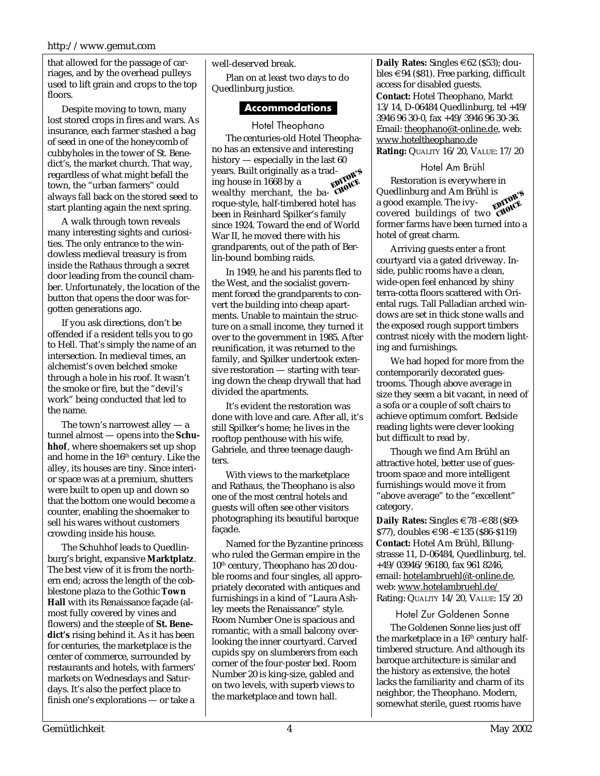that allowed for the passage of carriages, and by the overhead pulleys used to lift grain and crops to the top floors.

Despite moving to town, many lost stored crops in fires and wars. As insurance, each farmer stashed a bag of seed in one of the honeycomb of cubbyholes in the tower of St. Benedict's, the market church. That way, regardless of what might befall the town, the "urban farmers" could always fall back on the stored seed to start planting again the next spring.

A walk through town reveals many interesting sights and curiosities. The only entrance to the windowless medieval treasury is from inside the Rathaus through a secret door leading from the council chamber. Unfortunately, the location of the button that opens the door was forgotten generations ago.

If you ask directions, don't be offended if a resident tells you to go to Hell. That's simply the name of an intersection. In medieval times, an alchemist's oven belched smoke through a hole in his roof. It wasn't the smoke or fire, but the "devil's work" being conducted that led to the name.

The town's narrowest alley  $-$  a tunnel almost — opens into the **Schuhhof**, where shoemakers set up shop and home in the 16<sup>th</sup> century. Like the alley, its houses are tiny. Since interior space was at a premium, shutters were built to open up and down so that the bottom one would become a counter, enabling the shoemaker to sell his wares without customers crowding inside his house.

The Schuhhof leads to Quedlinburg's bright, expansive **Marktplatz**. The best view of it is from the northern end; across the length of the cobblestone plaza to the Gothic **Town Hall** with its Renaissance façade (almost fully covered by vines and flowers) and the steeple of **St. Benedict's** rising behind it. As it has been for centuries, the marketplace is the center of commerce, surrounded by restaurants and hotels, with farmers' markets on Wednesdays and Saturdays. It's also the perfect place to finish one's explorations — or take a

well-deserved break.

Plan on at least two days to do Quedlinburg justice.

# **Accommodations**

Hotel Theophano The centuries-old Hotel Theophano has an extensive and interesting history — especially in the last 60 years. Built originally as a trading house in 1668 by a wealthy merchant, the baroque-style, half-timbered hotel has been in Reinhard Spilker's family since 1924. Toward the end of World War II, he moved there with his grandparents, out of the path of Berlin-bound bombing raids. EDITOR'S CHOICE

In 1949, he and his parents fled to the West, and the socialist government forced the grandparents to convert the building into cheap apartments. Unable to maintain the structure on a small income, they turned it over to the government in 1985. After reunification, it was returned to the family, and Spilker undertook extensive restoration — starting with tearing down the cheap drywall that had divided the apartments.

It's evident the restoration was done with love and care. After all, it's still Spilker's home; he lives in the rooftop penthouse with his wife, Gabriele, and three teenage daughters.

With views to the marketplace and Rathaus, the Theophano is also one of the most central hotels and guests will often see other visitors photographing its beautiful baroque façade.

Named for the Byzantine princess who ruled the German empire in the 10<sup>th</sup> century, Theophano has 20 double rooms and four singles, all appropriately decorated with antiques and furnishings in a kind of "Laura Ashley meets the Renaissance" style. Room Number One is spacious and romantic, with a small balcony overlooking the inner courtyard. Carved cupids spy on slumberers from each corner of the four-poster bed. Room Number 20 is king-size, gabled and on two levels, with superb views to the marketplace and town hall.

**Daily Rates:** Singles €62 (\$53); doubles €94 (\$81). Free parking, difficult access for disabled guests. **Contact:** Hotel Theophano, Markt 13/14, D-06484 Quedlinburg, tel +49/ 3946 96 30-0, fax +49/3946 96 30-36. Email: theophano@t-online.de, web: www.hoteltheophano.de **Rating:** QUALITY 16/20, VALUE: 17/20

#### Hotel Am Brühl

Restoration is everywhere in Quedlinburg and Am Brühl is a good example. The ivycovered buildings of two former farms have been turned into a hotel of great charm. <sup>LS</sup><br>EDITOR'S<br>CHOICE

Arriving guests enter a front courtyard via a gated driveway. Inside, public rooms have a clean, wide-open feel enhanced by shiny terra-cotta floors scattered with Oriental rugs. Tall Palladian arched windows are set in thick stone walls and the exposed rough support timbers contrast nicely with the modern lighting and furnishings.

We had hoped for more from the contemporarily decorated guestrooms. Though above average in size they seem a bit vacant, in need of a sofa or a couple of soft chairs to achieve optimum comfort. Bedside reading lights were clever looking but difficult to read by.

Though we find Am Brühl an attractive hotel, better use of guestroom space and more intelligent furnishings would move it from "above average" to the "excellent" category.

**Daily Rates:** Singles €78 -€88 (\$69- \$77), doubles €98 -€135 (\$86-\$119) **Contact:** Hotel Am Brühl, Billungstrasse 11, D-06484, Quedlinburg, tel. +49/03946/96180, fax 961 8246, email: hotelambruehl@t-online.de, web: www.hotelambruehl.de/ Rating: QUALITY 14/20, VALUE: 15/20

Hotel Zur Goldenen Sonne

The Goldenen Sonne lies just off the marketplace in a 16<sup>th</sup> century halftimbered structure. And although its baroque architecture is similar and the history as extensive, the hotel lacks the familiarity and charm of its neighbor, the Theophano. Modern, somewhat sterile, guest rooms have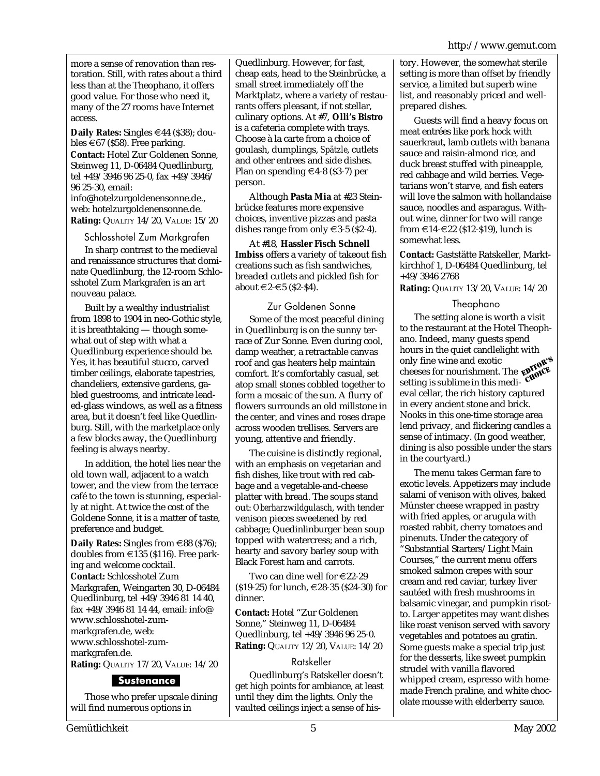more a sense of renovation than restoration. Still, with rates about a third less than at the Theophano, it offers good value. For those who need it, many of the 27 rooms have Internet access.

**Daily Rates:** Singles €44 (\$38); doubles €67 (\$58). Free parking. **Contact:** Hotel Zur Goldenen Sonne, Steinweg 11, D-06484 Quedlinburg, tel +49/3946 96 25-0, fax +49/3946/ 96 25-30, email: info@hotelzurgoldenensonne.de., web: hotelzurgoldenensonne.de. **Rating:** QUALITY 14/20, VALUE: 15/20

Schlosshotel Zum Markgrafen

In sharp contrast to the medieval and renaissance structures that dominate Quedlinburg, the 12-room Schlosshotel Zum Markgrafen is an art nouveau palace.

Built by a wealthy industrialist from 1898 to 1904 in neo-Gothic style, it is breathtaking — though somewhat out of step with what a Quedlinburg experience should be. Yes, it has beautiful stucco, carved timber ceilings, elaborate tapestries, chandeliers, extensive gardens, gabled guestrooms, and intricate leaded-glass windows, as well as a fitness area, but it doesn't feel like Quedlinburg. Still, with the marketplace only a few blocks away, the Quedlinburg feeling is always nearby.

In addition, the hotel lies near the old town wall, adjacent to a watch tower, and the view from the terrace café to the town is stunning, especially at night. At twice the cost of the Goldene Sonne, it is a matter of taste, preference and budget.

**Daily Rates:** Singles from €88 (\$76); doubles from €135 (\$116). Free parking and welcome cocktail. **Contact:** Schlosshotel Zum Markgrafen, Weingarten 30, D-06484 Quedlinburg, tel +49/3946 81 14 40, fax +49/3946 81 14 44, email: info@ www.schlosshotel-zummarkgrafen.de, web: www.schlosshotel-zummarkgrafen.de. **Rating: QUALITY 17/20, VALUE: 14/20** 

# **Sustenance**

Those who prefer upscale dining will find numerous options in

Quedlinburg. However, for fast, cheap eats, head to the Steinbrücke, a small street immediately off the Marktplatz, where a variety of restaurants offers pleasant, if not stellar, culinary options. At #7, **Olli's Bistro** is a cafeteria complete with trays. Choose à la carte from a choice of goulash, dumplings, *Spätzle*, cutlets and other entrees and side dishes. Plan on spending €4-8 (\$3-7) per person.

Although **Pasta Mia** at #23 Steinbrücke features more expensive choices, inventive pizzas and pasta dishes range from only  $\in$ 3-5 (\$2-4).

At #18, **Hassler Fisch Schnell Imbiss** offers a variety of takeout fish creations such as fish sandwiches, breaded cutlets and pickled fish for about €2-€5 (\$2-\$4).

# Zur Goldenen Sonne

Some of the most peaceful dining in Quedlinburg is on the sunny terrace of Zur Sonne. Even during cool, damp weather, a retractable canvas roof and gas heaters help maintain comfort. It's comfortably casual, set atop small stones cobbled together to form a mosaic of the sun. A flurry of flowers surrounds an old millstone in the center, and vines and roses drape across wooden trellises. Servers are young, attentive and friendly.

The cuisine is distinctly regional, with an emphasis on vegetarian and fish dishes, like trout with red cabbage and a vegetable-and-cheese platter with bread. The soups stand out: *Oberharzwildgulasch*, with tender venison pieces sweetened by red cabbage; Quedinlinburger bean soup topped with watercress; and a rich, hearty and savory barley soup with Black Forest ham and carrots.

Two can dine well for €22-29 (\$19-25) for lunch, €28-35 (\$24-30) for dinner.

**Contact:** Hotel "Zur Goldenen Sonne," Steinweg 11, D-06484 Quedlinburg, tel +49/3946 96 25-0. **Rating:** QUALITY 12/20, VALUE: 14/20

### Ratskeller

Quedlinburg's Ratskeller doesn't get high points for ambiance, at least until they dim the lights. Only the vaulted ceilings inject a sense of history. However, the somewhat sterile setting is more than offset by friendly service, a limited but superb wine list, and reasonably priced and wellprepared dishes.

Guests will find a heavy focus on meat entrées like pork hock with sauerkraut, lamb cutlets with banana sauce and raisin-almond rice, and duck breast stuffed with pineapple, red cabbage and wild berries. Vegetarians won't starve, and fish eaters will love the salmon with hollandaise sauce, noodles and asparagus. Without wine, dinner for two will range from €14-€22 (\$12-\$19), lunch is somewhat less.

**Contact:** Gaststätte Ratskeller, Marktkirchhof 1, D-06484 Quedlinburg, tel +49/3946 2768

# **Rating:** QUALITY 13/20, VALUE: 14/20

# Theophano

The setting alone is worth a visit to the restaurant at the Hotel Theophano. Indeed, many guests spend hours in the quiet candlelight with only fine wine and exotic only fine wine and exotic<br>cheeses for nourishment. The **EDITOR'S**<br>setting is sublime in this modi setting is sublime in this medieval cellar, the rich history captured in every ancient stone and brick. Nooks in this one-time storage area lend privacy, and flickering candles a sense of intimacy. (In good weather, dining is also possible under the stars in the courtyard.)

The menu takes German fare to exotic levels. Appetizers may include salami of venison with olives, baked Münster cheese wrapped in pastry with fried apples, or arugula with roasted rabbit, cherry tomatoes and pinenuts. Under the category of "Substantial Starters/Light Main Courses," the current menu offers smoked salmon crepes with sour cream and red caviar, turkey liver sautéed with fresh mushrooms in balsamic vinegar, and pumpkin risotto. Larger appetites may want dishes like roast venison served with savory vegetables and potatoes au gratin. Some guests make a special trip just for the desserts, like sweet pumpkin strudel with vanilla flavored whipped cream, espresso with homemade French praline, and white chocolate mousse with elderberry sauce.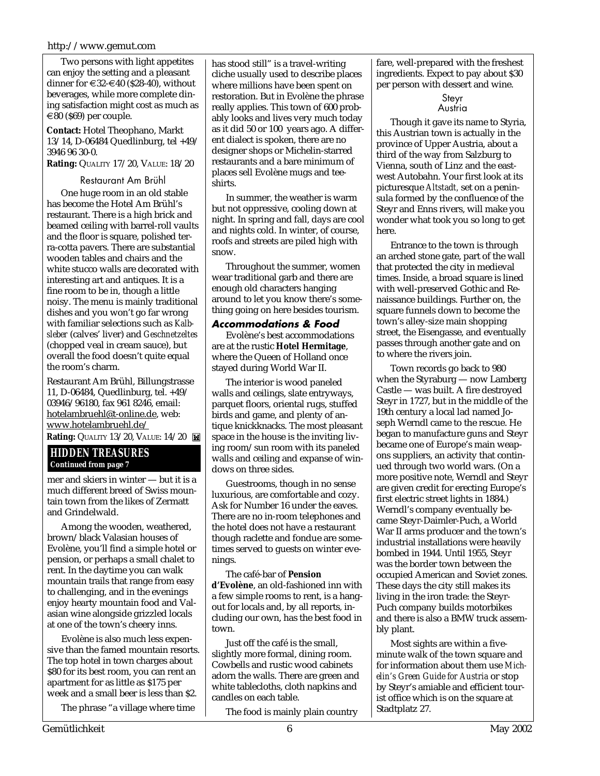#### http://www.gemut.com

Two persons with light appetites can enjoy the setting and a pleasant dinner for  $\in$  32- $\in$  40 (\$28-40), without beverages, while more complete dining satisfaction might cost as much as €80 (\$69) per couple.

**Contact:** Hotel Theophano, Markt 13/14, D-06484 Quedlinburg, tel +49/ 3946 96 30-0.

**Rating: QUALITY 17/20, VALUE: 18/20** 

#### Restaurant Am Brühl

One huge room in an old stable has become the Hotel Am Brühl's restaurant. There is a high brick and beamed ceiling with barrel-roll vaults and the floor is square, polished terra-cotta pavers. There are substantial wooden tables and chairs and the white stucco walls are decorated with interesting art and antiques. It is a fine room to be in, though a little noisy. The menu is mainly traditional dishes and you won't go far wrong with familiar selections such as *Kalbsleber* (calves' liver) and *Geschnetzeltes* (chopped veal in cream sauce), but overall the food doesn't quite equal the room's charm.

Restaurant Am Brühl, Billungstrasse 11, D-06484, Quedlinburg, tel. +49/ 03946/96180, fax 961 8246, email: hotelambruehl@t-online.de, web: www.hotelambruehl.de/ **Rating:** QUALITY 13/20, VALUE: 14/20

#### *HIDDEN TREASURES Continued from page 7*

mer and skiers in winter — but it is a much different breed of Swiss mountain town from the likes of Zermatt and Grindelwald.

Among the wooden, weathered, brown/black Valasian houses of Evolène, you'll find a simple hotel or pension, or perhaps a small chalet to rent. In the daytime you can walk mountain trails that range from easy to challenging, and in the evenings enjoy hearty mountain food and Valasian wine alongside grizzled locals at one of the town's cheery inns.

Evolène is also much less expensive than the famed mountain resorts. The top hotel in town charges about \$80 for its best room, you can rent an apartment for as little as \$175 per week and a small beer is less than \$2.

The phrase "a village where time

has stood still" is a travel-writing cliche usually used to describe places where millions have been spent on restoration. But in Evolène the phrase really applies. This town of 600 probably looks and lives very much today as it did 50 or 100 years ago. A different dialect is spoken, there are no designer shops or Michelin-starred restaurants and a bare minimum of places sell Evolène mugs and teeshirts.

In summer, the weather is warm but not oppressive, cooling down at night. In spring and fall, days are cool and nights cold. In winter, of course, roofs and streets are piled high with snow.

Throughout the summer, women wear traditional garb and there are enough old characters hanging around to let you know there's something going on here besides tourism.

#### **Accommodations & Food**

Evolène's best accommodations are at the rustic **Hotel Hermitage**, where the Queen of Holland once stayed during World War II.

The interior is wood paneled walls and ceilings, slate entryways, parquet floors, oriental rugs, stuffed birds and game, and plenty of antique knickknacks. The most pleasant space in the house is the inviting living room/sun room with its paneled walls and ceiling and expanse of windows on three sides.

Guestrooms, though in no sense luxurious, are comfortable and cozy. Ask for Number 16 under the eaves. There are no in-room telephones and the hotel does not have a restaurant though raclette and fondue are sometimes served to guests on winter evenings.

The café-bar of **Pension d'Evolène**, an old-fashioned inn with a few simple rooms to rent, is a hangout for locals and, by all reports, including our own, has the best food in town.

Just off the café is the small, slightly more formal, dining room. Cowbells and rustic wood cabinets adorn the walls. There are green and white tablecloths, cloth napkins and candles on each table.

The food is mainly plain country

fare, well-prepared with the freshest ingredients. Expect to pay about \$30 per person with dessert and wine.

> Steyr Austria

Though it gave its name to Styria, this Austrian town is actually in the province of Upper Austria, about a third of the way from Salzburg to Vienna, south of Linz and the eastwest Autobahn. Your first look at its picturesque *Altstadt,* set on a peninsula formed by the confluence of the Steyr and Enns rivers, will make you wonder what took you so long to get here.

Entrance to the town is through an arched stone gate, part of the wall that protected the city in medieval times. Inside, a broad square is lined with well-preserved Gothic and Renaissance buildings. Further on, the square funnels down to become the town's alley-size main shopping street, the Eisengasse, and eventually passes through another gate and on to where the rivers join.

Town records go back to 980 when the Styraburg — now Lamberg Castle — was built. A fire destroyed Steyr in 1727, but in the middle of the 19th century a local lad named Joseph Werndl came to the rescue. He began to manufacture guns and Steyr became one of Europe's main weapons suppliers, an activity that continued through two world wars. (On a more positive note, Werndl and Steyr are given credit for erecting Europe's first electric street lights in 1884.) Werndl's company eventually became Steyr-Daimler-Puch, a World War II arms producer and the town's industrial installations were heavily bombed in 1944. Until 1955, Steyr was the border town between the occupied American and Soviet zones. These days the city still makes its living in the iron trade: the Steyr-Puch company builds motorbikes and there is also a BMW truck assembly plant.

Most sights are within a fiveminute walk of the town square and for information about them use *Michelin's Green Guide for Austria* or stop by Steyr's amiable and efficient tourist office which is on the square at Stadtplatz 27.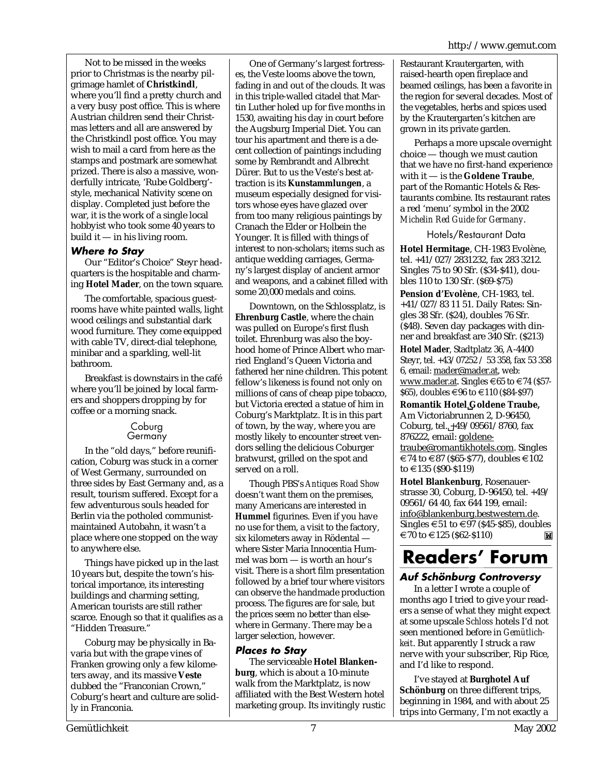Not to be missed in the weeks prior to Christmas is the nearby pilgrimage hamlet of **Christkindl**, where you'll find a pretty church and a very busy post office. This is where Austrian children send their Christmas letters and all are answered by the Christkindl post office. You may wish to mail a card from here as the stamps and postmark are somewhat prized. There is also a massive, wonderfully intricate, 'Rube Goldberg' style, mechanical Nativity scene on display. Completed just before the war, it is the work of a single local hobbyist who took some 40 years to build it — in his living room.

#### **Where to Stay**

Our "Editor's Choice" Steyr headquarters is the hospitable and charming **Hotel Mader**, on the town square.

The comfortable, spacious guestrooms have white painted walls, light wood ceilings and substantial dark wood furniture. They come equipped with cable TV, direct-dial telephone, minibar and a sparkling, well-lit bathroom.

Breakfast is downstairs in the café where you'll be joined by local farmers and shoppers dropping by for coffee or a morning snack.

#### Coburg **Germany**

In the "old days," before reunification, Coburg was stuck in a corner of West Germany, surrounded on three sides by East Germany and, as a result, tourism suffered. Except for a few adventurous souls headed for Berlin via the potholed communistmaintained Autobahn, it wasn't a place where one stopped on the way to anywhere else.

Things have picked up in the last 10 years but, despite the town's historical importance, its interesting buildings and charming setting, American tourists are still rather scarce. Enough so that it qualifies as a "Hidden Treasure."

Coburg may be physically in Bavaria but with the grape vines of Franken growing only a few kilometers away, and its massive **Veste** dubbed the "Franconian Crown," Coburg's heart and culture are solidly in Franconia.

One of Germany's largest fortresses, the Veste looms above the town, fading in and out of the clouds. It was in this triple-walled citadel that Martin Luther holed up for five months in 1530, awaiting his day in court before the Augsburg Imperial Diet. You can tour his apartment and there is a decent collection of paintings including some by Rembrandt and Albrecht Dürer. But to us the Veste's best attraction is its **Kunstammlungen**, a museum especially designed for visitors whose eyes have glazed over from too many religious paintings by Cranach the Elder or Holbein the Younger. It is filled with things of interest to non-scholars; items such as antique wedding carriages, Germany's largest display of ancient armor and weapons, and a cabinet filled with some 20,000 medals and coins.

Downtown, on the Schlossplatz, is **Ehrenburg Castle**, where the chain was pulled on Europe's first flush toilet. Ehrenburg was also the boyhood home of Prince Albert who married England's Queen Victoria and fathered her nine children. This potent fellow's likeness is found not only on millions of cans of cheap pipe tobacco, but Victoria erected a statue of him in Coburg's Marktplatz. It is in this part of town, by the way, where you are mostly likely to encounter street vendors selling the delicious Coburger bratwurst, grilled on the spot and served on a roll.

Though PBS's *Antiques Road Show* doesn't want them on the premises, many Americans are interested in **Hummel** figurines. Even if you have no use for them, a visit to the factory, six kilometers away in Rödental where Sister Maria Innocentia Hummel was born — is worth an hour's visit. There is a short film presentation followed by a brief tour where visitors can observe the handmade production process. The figures are for sale, but the prices seem no better than elsewhere in Germany. There may be a larger selection, however.

#### **Places to Stay**

The serviceable **Hotel Blankenburg**, which is about a 10-minute walk from the Marktplatz, is now affiliated with the Best Western hotel marketing group. Its invitingly rustic Restaurant Krautergarten, with raised-hearth open fireplace and beamed ceilings, has been a favorite in the region for several decades. Most of the vegetables, herbs and spices used by the Krautergarten's kitchen are grown in its private garden.

Perhaps a more upscale overnight choice — though we must caution that we have no first-hand experience with it — is the **Goldene Traube**, part of the Romantic Hotels & Restaurants combine. Its restaurant rates a red 'menu' symbol in the 2002 *Michelin Red Guide for Germany*.

Hotels/Restaurant Data

**Hotel Hermitage**, CH-1983 Evolène, tel. +41/027/2831232, fax 283 3212. Singles 75 to 90 Sfr. (\$34-\$41), doubles 110 to 130 Sfr. (\$69-\$75)

**Pension d'Evolène**, CH-1983, tel. +41/027/83 11 51. Daily Rates: Singles 38 Sfr. (\$24), doubles 76 Sfr. (\$48). Seven day packages with dinner and breakfast are 340 Sfr. (\$213)

**Hotel Mader**, Stadtplatz 36, A-4400 Steyr, tel. +43/07252 / 53 358, fax 53 358 6, email: mader@mader.at, web: www.mader.at. Singles €65 to €74 (\$57- \$65), doubles €96 to €110 (\$84-\$97)

**Romantik Hotel␣Goldene Traube,** Am Victoriabrunnen 2, D-96450, Coburg, tel.␣+49/09561/8760, fax 876222, email: goldenetraube@romantikhotels.com. Singles €74 to €87 (\$65-\$77), doubles €102 to €135 (\$90-\$119)

**Hotel Blankenburg**, Rosenauerstrasse 30, Coburg, D-96450, tel. +49/ 09561/64 40, fax 644 199, email: info@blankenburg.bestwestern.de. Singles  $\epsilon$ 51 to  $\epsilon$ 97 (\$45-\$85), doubles €70 to €125 (\$62-\$110) M

# **Readers' Forum**

### **Auf Schönburg Controversy**

In a letter I wrote a couple of months ago I tried to give your readers a sense of what they might expect at some upscale *Schloss* hotels I'd not seen mentioned before in *Gemütlichkeit*. But apparently I struck a raw nerve with your subscriber, Rip Rice, and I'd like to respond.

I've stayed at **Burghotel Auf Schönburg** on three different trips, beginning in 1984, and with about 25 trips into Germany, I'm not exactly a